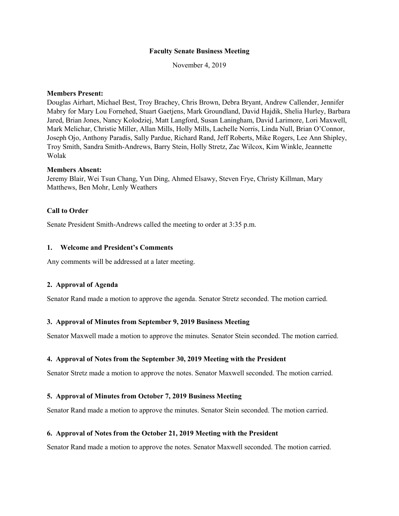#### **Faculty Senate Business Meeting**

November 4, 2019

#### **Members Present:**

Douglas Airhart, Michael Best, Troy Brachey, Chris Brown, Debra Bryant, Andrew Callender, Jennifer Mabry for Mary Lou Fornehed, Stuart Gaetjens, Mark Groundland, David Hajdik, Shelia Hurley, Barbara Jared, Brian Jones, Nancy Kolodziej, Matt Langford, Susan Laningham, David Larimore, Lori Maxwell, Mark Melichar, Christie Miller, Allan Mills, Holly Mills, Lachelle Norris, Linda Null, Brian O'Connor, Joseph Ojo, Anthony Paradis, Sally Pardue, Richard Rand, Jeff Roberts, Mike Rogers, Lee Ann Shipley, Troy Smith, Sandra Smith-Andrews, Barry Stein, Holly Stretz, Zac Wilcox, Kim Winkle, Jeannette Wolak

#### **Members Absent:**

Jeremy Blair, Wei Tsun Chang, Yun Ding, Ahmed Elsawy, Steven Frye, Christy Killman, Mary Matthews, Ben Mohr, Lenly Weathers

#### **Call to Order**

Senate President Smith-Andrews called the meeting to order at 3:35 p.m.

#### **1. Welcome and President's Comments**

Any comments will be addressed at a later meeting.

#### **2. Approval of Agenda**

Senator Rand made a motion to approve the agenda. Senator Stretz seconded. The motion carried.

### **3. Approval of Minutes from September 9, 2019 Business Meeting**

Senator Maxwell made a motion to approve the minutes. Senator Stein seconded. The motion carried.

#### **4. Approval of Notes from the September 30, 2019 Meeting with the President**

Senator Stretz made a motion to approve the notes. Senator Maxwell seconded. The motion carried.

#### **5. Approval of Minutes from October 7, 2019 Business Meeting**

Senator Rand made a motion to approve the minutes. Senator Stein seconded. The motion carried.

#### **6. Approval of Notes from the October 21, 2019 Meeting with the President**

Senator Rand made a motion to approve the notes. Senator Maxwell seconded. The motion carried.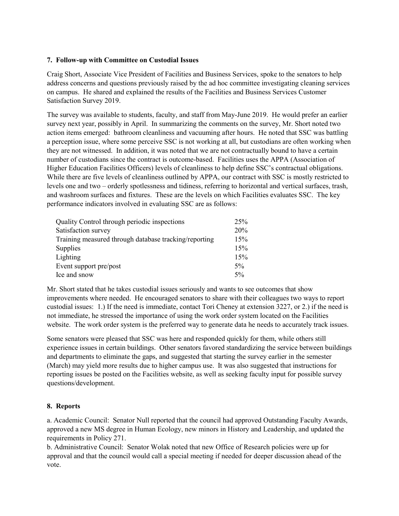# **7. Follow-up with Committee on Custodial Issues**

Craig Short, Associate Vice President of Facilities and Business Services, spoke to the senators to help address concerns and questions previously raised by the ad hoc committee investigating cleaning services on campus. He shared and explained the results of the Facilities and Business Services Customer Satisfaction Survey 2019.

The survey was available to students, faculty, and staff from May-June 2019. He would prefer an earlier survey next year, possibly in April. In summarizing the comments on the survey, Mr. Short noted two action items emerged: bathroom cleanliness and vacuuming after hours. He noted that SSC was battling a perception issue, where some perceive SSC is not working at all, but custodians are often working when they are not witnessed. In addition, it was noted that we are not contractually bound to have a certain number of custodians since the contract is outcome-based. Facilities uses the APPA (Association of Higher Education Facilities Officers) levels of cleanliness to help define SSC's contractual obligations. While there are five levels of cleanliness outlined by APPA, our contract with SSC is mostly restricted to levels one and two – orderly spotlessness and tidiness, referring to horizontal and vertical surfaces, trash, and washroom surfaces and fixtures. These are the levels on which Facilities evaluates SSC. The key performance indicators involved in evaluating SSC are as follows:

| Quality Control through periodic inspections          | 25%   |
|-------------------------------------------------------|-------|
| Satisfaction survey                                   | 20%   |
| Training measured through database tracking/reporting | 15%   |
| Supplies                                              | 15%   |
| Lighting                                              | 15%   |
| Event support pre/post                                | $5\%$ |
| Ice and snow                                          | $5\%$ |

Mr. Short stated that he takes custodial issues seriously and wants to see outcomes that show improvements where needed. He encouraged senators to share with their colleagues two ways to report custodial issues: 1.) If the need is immediate, contact Tori Cheney at extension 3227, or 2.) if the need is not immediate, he stressed the importance of using the work order system located on the Facilities website. The work order system is the preferred way to generate data he needs to accurately track issues.

Some senators were pleased that SSC was here and responded quickly for them, while others still experience issues in certain buildings. Other senators favored standardizing the service between buildings and departments to eliminate the gaps, and suggested that starting the survey earlier in the semester (March) may yield more results due to higher campus use. It was also suggested that instructions for reporting issues be posted on the Facilities website, as well as seeking faculty input for possible survey questions/development.

## **8. Reports**

a. Academic Council: Senator Null reported that the council had approved Outstanding Faculty Awards, approved a new MS degree in Human Ecology, new minors in History and Leadership, and updated the requirements in Policy 271.

b. Administrative Council: Senator Wolak noted that new Office of Research policies were up for approval and that the council would call a special meeting if needed for deeper discussion ahead of the vote.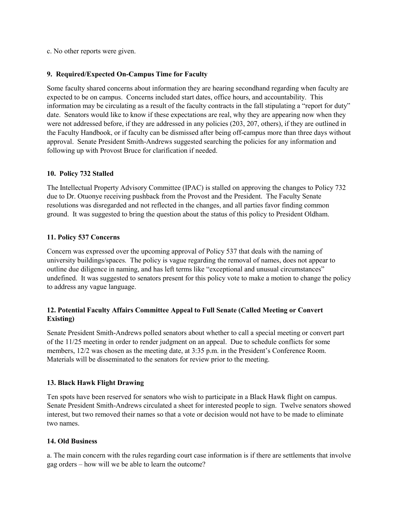c. No other reports were given.

## **9. Required/Expected On-Campus Time for Faculty**

Some faculty shared concerns about information they are hearing secondhand regarding when faculty are expected to be on campus. Concerns included start dates, office hours, and accountability. This information may be circulating as a result of the faculty contracts in the fall stipulating a "report for duty" date. Senators would like to know if these expectations are real, why they are appearing now when they were not addressed before, if they are addressed in any policies (203, 207, others), if they are outlined in the Faculty Handbook, or if faculty can be dismissed after being off-campus more than three days without approval. Senate President Smith-Andrews suggested searching the policies for any information and following up with Provost Bruce for clarification if needed.

# **10. Policy 732 Stalled**

The Intellectual Property Advisory Committee (IPAC) is stalled on approving the changes to Policy 732 due to Dr. Otuonye receiving pushback from the Provost and the President. The Faculty Senate resolutions was disregarded and not reflected in the changes, and all parties favor finding common ground. It was suggested to bring the question about the status of this policy to President Oldham.

# **11. Policy 537 Concerns**

Concern was expressed over the upcoming approval of Policy 537 that deals with the naming of university buildings/spaces. The policy is vague regarding the removal of names, does not appear to outline due diligence in naming, and has left terms like "exceptional and unusual circumstances" undefined. It was suggested to senators present for this policy vote to make a motion to change the policy to address any vague language.

# **12. Potential Faculty Affairs Committee Appeal to Full Senate (Called Meeting or Convert Existing)**

Senate President Smith-Andrews polled senators about whether to call a special meeting or convert part of the 11/25 meeting in order to render judgment on an appeal. Due to schedule conflicts for some members, 12/2 was chosen as the meeting date, at 3:35 p.m. in the President's Conference Room. Materials will be disseminated to the senators for review prior to the meeting.

## **13. Black Hawk Flight Drawing**

Ten spots have been reserved for senators who wish to participate in a Black Hawk flight on campus. Senate President Smith-Andrews circulated a sheet for interested people to sign. Twelve senators showed interest, but two removed their names so that a vote or decision would not have to be made to eliminate two names.

## **14. Old Business**

a. The main concern with the rules regarding court case information is if there are settlements that involve gag orders – how will we be able to learn the outcome?